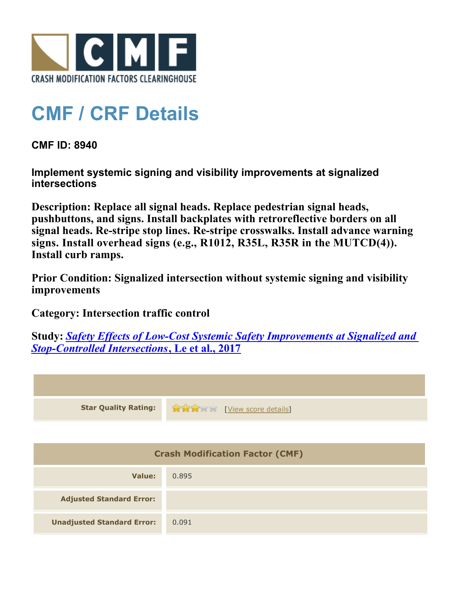

## **CMF / CRF Details**

**CMF ID: 8940**

**Implement systemic signing and visibility improvements at signalized intersections**

**Description: Replace all signal heads. Replace pedestrian signal heads, pushbuttons, and signs. Install backplates with retroreflective borders on all signal heads. Re-stripe stop lines. Re-stripe crosswalks. Install advance warning signs. Install overhead signs (e.g., R1012, R35L, R35R in the MUTCD(4)). Install curb ramps.**

**Prior Condition: Signalized intersection without systemic signing and visibility improvements**

**Category: Intersection traffic control**

**Study:** *[Safety Effects of Low-Cost Systemic Safety Improvements at Signalized and](http://www.cmfclearinghouse.org/study_detail.cfm?stid=492) [Stop-Controlled Intersections](http://www.cmfclearinghouse.org/study_detail.cfm?stid=492)***[, Le et al., 2017](http://www.cmfclearinghouse.org/study_detail.cfm?stid=492)**



| Value:                            | 0.895 |
|-----------------------------------|-------|
| <b>Adjusted Standard Error:</b>   |       |
| <b>Unadjusted Standard Error:</b> | 0.091 |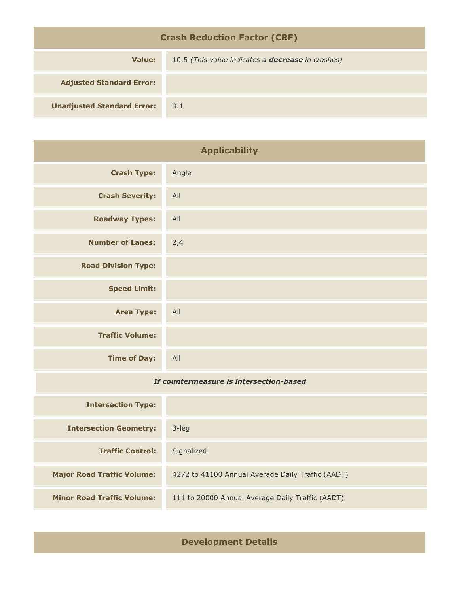| <b>Crash Reduction Factor (CRF)</b> |                                                          |  |
|-------------------------------------|----------------------------------------------------------|--|
| Value:                              | 10.5 (This value indicates a <b>decrease</b> in crashes) |  |
| <b>Adjusted Standard Error:</b>     |                                                          |  |
| <b>Unadjusted Standard Error:</b>   | 9.1                                                      |  |

| <b>Applicability</b>                    |       |
|-----------------------------------------|-------|
| <b>Crash Type:</b>                      | Angle |
| <b>Crash Severity:</b>                  | All   |
| <b>Roadway Types:</b>                   | All   |
| <b>Number of Lanes:</b>                 | 2,4   |
| <b>Road Division Type:</b>              |       |
| <b>Speed Limit:</b>                     |       |
| <b>Area Type:</b>                       | All   |
| <b>Traffic Volume:</b>                  |       |
| <b>Time of Day:</b>                     | All   |
| If countermeasure is intersection-based |       |
| <b>Intersection Type:</b>               |       |
|                                         |       |

| <b>Intersection Geometry:</b>     | 3-leg                                             |
|-----------------------------------|---------------------------------------------------|
| <b>Traffic Control:</b>           | Signalized                                        |
| <b>Major Road Traffic Volume:</b> | 4272 to 41100 Annual Average Daily Traffic (AADT) |
| <b>Minor Road Traffic Volume:</b> | 111 to 20000 Annual Average Daily Traffic (AADT)  |

**Development Details**